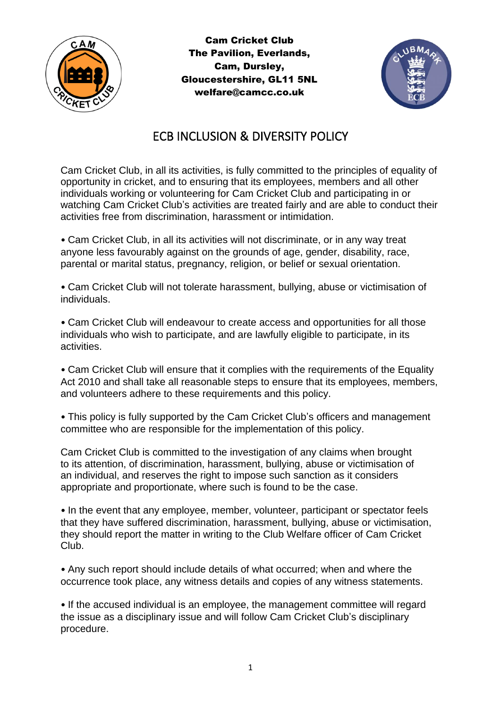

Cam Cricket Club The Pavilion, Everlands, Cam, Dursley, Gloucestershire, GL11 5NL welfare@camcc.co.uk



## ECB INCLUSION & DIVERSITY POLICY

Cam Cricket Club, in all its activities, is fully committed to the principles of equality of opportunity in cricket, and to ensuring that its employees, members and all other individuals working or volunteering for Cam Cricket Club and participating in or watching Cam Cricket Club's activities are treated fairly and are able to conduct their activities free from discrimination, harassment or intimidation.

• Cam Cricket Club, in all its activities will not discriminate, or in any way treat anyone less favourably against on the grounds of age, gender, disability, race, parental or marital status, pregnancy, religion, or belief or sexual orientation.

• Cam Cricket Club will not tolerate harassment, bullying, abuse or victimisation of individuals.

• Cam Cricket Club will endeavour to create access and opportunities for all those individuals who wish to participate, and are lawfully eligible to participate, in its activities.

• Cam Cricket Club will ensure that it complies with the requirements of the Equality Act 2010 and shall take all reasonable steps to ensure that its employees, members, and volunteers adhere to these requirements and this policy.

• This policy is fully supported by the Cam Cricket Club's officers and management committee who are responsible for the implementation of this policy.

Cam Cricket Club is committed to the investigation of any claims when brought to its attention, of discrimination, harassment, bullying, abuse or victimisation of an individual, and reserves the right to impose such sanction as it considers appropriate and proportionate, where such is found to be the case.

• In the event that any employee, member, volunteer, participant or spectator feels that they have suffered discrimination, harassment, bullying, abuse or victimisation, they should report the matter in writing to the Club Welfare officer of Cam Cricket Club.

• Any such report should include details of what occurred; when and where the occurrence took place, any witness details and copies of any witness statements.

• If the accused individual is an employee, the management committee will regard the issue as a disciplinary issue and will follow Cam Cricket Club's disciplinary procedure.